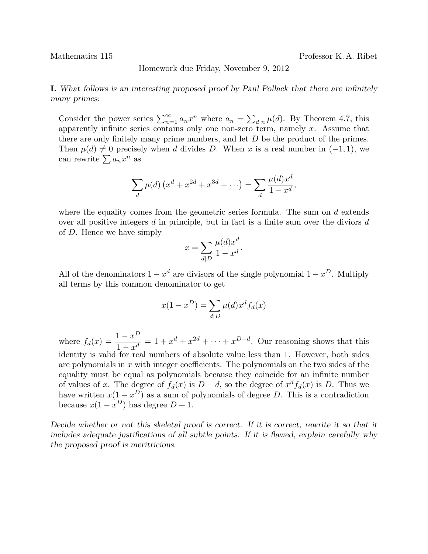Mathematics 115 Professor K. A. Ribet

Homework due Friday, November 9, 2012

I. What follows is an interesting proposed proof by Paul Pollack that there are infinitely many primes:

Consider the power series  $\sum_{n=1}^{\infty} a_n x^n$  where  $a_n = \sum_{d|n} \mu(d)$ . By Theorem 4.7, this apparently infinite series contains only one non-zero term, namely  $x$ . Assume that there are only finitely many prime numbers, and let D be the product of the primes. Then  $\mu(d) \neq 0$  precisely when d divides D. When x is a real number in  $(-1, 1)$ , we can rewrite  $\sum a_n x^n$  as

$$
\sum_{d} \mu(d) \left( x^d + x^{2d} + x^{3d} + \cdots \right) = \sum_{d} \frac{\mu(d)x^d}{1 - x^d},
$$

where the equality comes from the geometric series formula. The sum on  $d$  extends over all positive integers  $d$  in principle, but in fact is a finite sum over the diviors  $d$ of D. Hence we have simply

$$
x = \sum_{d|D} \frac{\mu(d)x^d}{1 - x^d}.
$$

All of the denominators  $1 - x^d$  are divisors of the single polynomial  $1 - x^D$ . Multiply all terms by this common denominator to get

$$
x(1 - x^{D}) = \sum_{d|D} \mu(d)x^{d} f_{d}(x)
$$

where  $f_d(x) = \frac{1-x^D}{1-x^d}$  $\frac{1-x}{1-x^d} = 1 + x^d + x^{2d} + \cdots + x^{D-d}$ . Our reasoning shows that this identity is valid for real numbers of absolute value less than 1. However, both sides are polynomials in  $x$  with integer coefficients. The polynomials on the two sides of the equality must be equal as polynomials because they coincide for an infinite number of values of x. The degree of  $f_d(x)$  is  $D - d$ , so the degree of  $x^d f_d(x)$  is D. Thus we have written  $x(1-x^D)$  as a sum of polynomials of degree D. This is a contradiction because  $x(1-x^D)$  has degree  $D+1$ .

Decide whether or not this skeletal proof is correct. If it is correct, rewrite it so that it includes adequate justifications of all subtle points. If it is flawed, explain carefully why the proposed proof is meritricious.